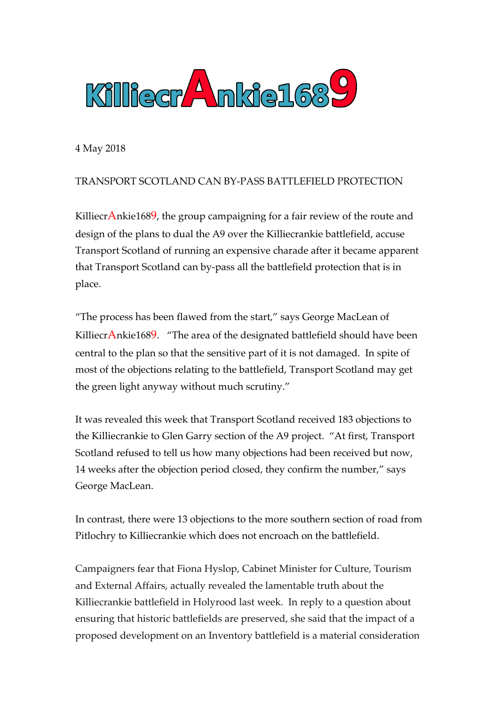

4 May 2018

## TRANSPORT SCOTLAND CAN BY-PASS BATTLEFIELD PROTECTION

Killiecr $A$ nkie1689, the group campaigning for a fair review of the route and design of the plans to dual the A9 over the Killiecrankie battlefield, accuse Transport Scotland of running an expensive charade after it became apparent that Transport Scotland can by-pass all the battlefield protection that is in place.

"The process has been flawed from the start," says George MacLean of KilliecrAnkie1689. "The area of the designated battlefield should have been central to the plan so that the sensitive part of it is not damaged. In spite of most of the objections relating to the battlefield, Transport Scotland may get the green light anyway without much scrutiny."

It was revealed this week that Transport Scotland received 183 objections to the Killiecrankie to Glen Garry section of the A9 project. "At first, Transport Scotland refused to tell us how many objections had been received but now, 14 weeks after the objection period closed, they confirm the number," says George MacLean.

In contrast, there were 13 objections to the more southern section of road from Pitlochry to Killiecrankie which does not encroach on the battlefield.

Campaigners fear that Fiona Hyslop, Cabinet Minister for Culture, Tourism and External Affairs, actually revealed the lamentable truth about the Killiecrankie battlefield in Holyrood last week. In reply to a question about ensuring that historic battlefields are preserved, she said that the impact of a proposed development on an Inventory battlefield is a material consideration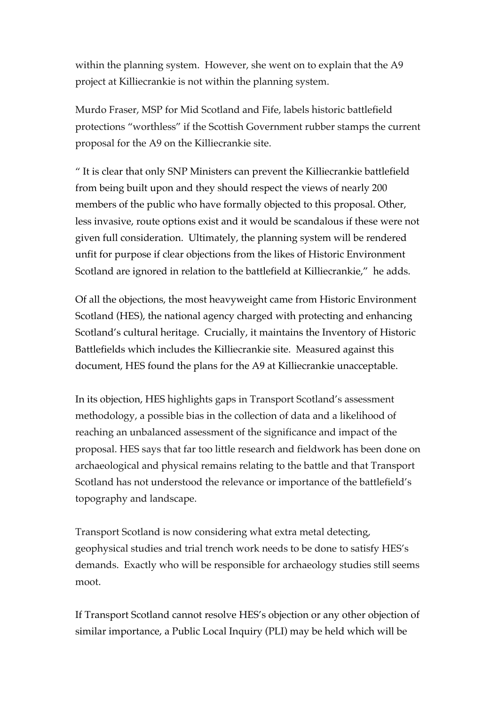within the planning system. However, she went on to explain that the A9 project at Killiecrankie is not within the planning system.

Murdo Fraser, MSP for Mid Scotland and Fife, labels historic battlefield protections "worthless" if the Scottish Government rubber stamps the current proposal for the A9 on the Killiecrankie site.

" It is clear that only SNP Ministers can prevent the Killiecrankie battlefield from being built upon and they should respect the views of nearly 200 members of the public who have formally objected to this proposal. Other, less invasive, route options exist and it would be scandalous if these were not given full consideration. Ultimately, the planning system will be rendered unfit for purpose if clear objections from the likes of Historic Environment Scotland are ignored in relation to the battlefield at Killiecrankie," he adds.

Of all the objections, the most heavyweight came from Historic Environment Scotland (HES), the national agency charged with protecting and enhancing Scotland's cultural heritage. Crucially, it maintains the Inventory of Historic Battlefields which includes the Killiecrankie site. Measured against this document, HES found the plans for the A9 at Killiecrankie unacceptable.

In its objection, HES highlights gaps in Transport Scotland's assessment methodology, a possible bias in the collection of data and a likelihood of reaching an unbalanced assessment of the significance and impact of the proposal. HES says that far too little research and fieldwork has been done on archaeological and physical remains relating to the battle and that Transport Scotland has not understood the relevance or importance of the battlefield's topography and landscape.

Transport Scotland is now considering what extra metal detecting, geophysical studies and trial trench work needs to be done to satisfy HES's demands. Exactly who will be responsible for archaeology studies still seems moot.

If Transport Scotland cannot resolve HES's objection or any other objection of similar importance, a Public Local Inquiry (PLI) may be held which will be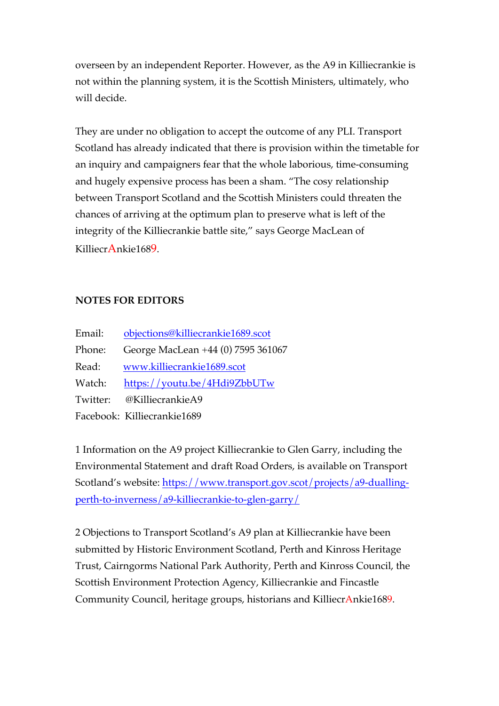overseen by an independent Reporter. However, as the A9 in Killiecrankie is not within the planning system, it is the Scottish Ministers, ultimately, who will decide.

They are under no obligation to accept the outcome of any PLI. Transport Scotland has already indicated that there is provision within the timetable for an inquiry and campaigners fear that the whole laborious, time-consuming and hugely expensive process has been a sham. "The cosy relationship between Transport Scotland and the Scottish Ministers could threaten the chances of arriving at the optimum plan to preserve what is left of the integrity of the Killiecrankie battle site," says George MacLean of KilliecrAnkie1689.

## **NOTES FOR EDITORS**

| Email:   | objections@killiecrankie1689.scot  |
|----------|------------------------------------|
| Phone:   | George MacLean +44 (0) 7595 361067 |
| Read:    | www.killiecrankie1689.scot         |
| Watch:   | https://youtu.be/4Hdi9ZbbUTw       |
| Twitter: | @KilliecrankieA9                   |
|          | Facebook: Killiecrankie1689        |

1 Information on the A9 project Killiecrankie to Glen Garry, including the Environmental Statement and draft Road Orders, is available on Transport Scotland's website: https://www.transport.gov.scot/projects/a9-duallingperth-to-inverness/a9-killiecrankie-to-glen-garry/

2 Objections to Transport Scotland's A9 plan at Killiecrankie have been submitted by Historic Environment Scotland, Perth and Kinross Heritage Trust, Cairngorms National Park Authority, Perth and Kinross Council, the Scottish Environment Protection Agency, Killiecrankie and Fincastle Community Council, heritage groups, historians and KilliecrAnkie1689.